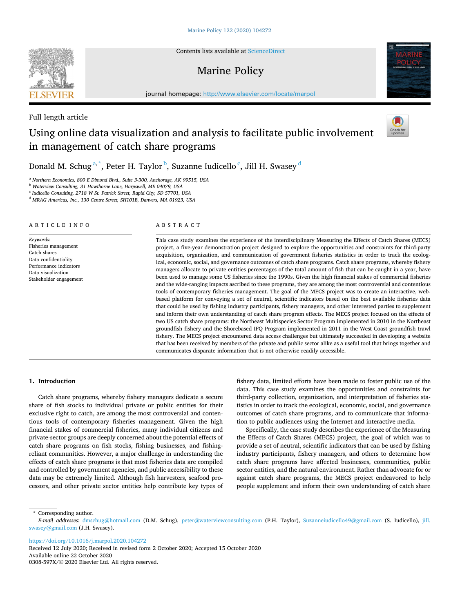Contents lists available at [ScienceDirect](www.sciencedirect.com/science/journal/0308597X)

# Marine Policy

journal homepage: [http://www.elsevier.com/locate/marpol](https://http://www.elsevier.com/locate/marpol) 

# Using online data visualization and analysis to facilitate public involvement in management of catch share programs

Donald M. Schug $^{\mathrm{a},\mathrm{*}},$  Peter H. Taylor $^{\mathrm{b}}$ , Suzanne Iudicello $^{\mathrm{c}}$ , Jill H. Swasey $^{\mathrm{d}}$ 

<sup>a</sup> *Northern Economics, 800 E Dimond Blvd., Suite 3-300, Anchorage, AK 99515, USA* 

<sup>b</sup> *Waterview Consulting, 31 Hawthorne Lane, Harpswell, ME 04079, USA* 

<sup>c</sup> *Iudicello Consulting, 2718 W St. Patrick Street, Rapid City, SD 57701, USA* 

<sup>d</sup> *MRAG Americas, Inc., 130 Centre Street, SH101B, Danvers, MA 01923, USA* 

# ARTICLE INFO

*Keywords:*  Fisheries management Catch shares Data confidentiality Performance indicators Data visualization Stakeholder engagement

#### ABSTRACT

This case study examines the experience of the interdisciplinary Measuring the Effects of Catch Shares (MECS) project, a five-year demonstration project designed to explore the opportunities and constraints for third-party acquisition, organization, and communication of government fisheries statistics in order to track the ecological, economic, social, and governance outcomes of catch share programs. Catch share programs, whereby fishery managers allocate to private entities percentages of the total amount of fish that can be caught in a year, have been used to manage some US fisheries since the 1990s. Given the high financial stakes of commercial fisheries and the wide-ranging impacts ascribed to these programs, they are among the most controversial and contentious tools of contemporary fisheries management. The goal of the MECS project was to create an interactive, webbased platform for conveying a set of neutral, scientific indicators based on the best available fisheries data that could be used by fishing industry participants, fishery managers, and other interested parties to supplement and inform their own understanding of catch share program effects. The MECS project focused on the effects of two US catch share programs: the Northeast Multispecies Sector Program implemented in 2010 in the Northeast groundfish fishery and the Shorebased IFQ Program implemented in 2011 in the West Coast groundfish trawl fishery. The MECS project encountered data access challenges but ultimately succeeded in developing a website that has been received by members of the private and public sector alike as a useful tool that brings together and communicates disparate information that is not otherwise readily accessible.

#### **1. Introduction**

Catch share programs, whereby fishery managers dedicate a secure share of fish stocks to individual private or public entities for their exclusive right to catch, are among the most controversial and contentious tools of contemporary fisheries management. Given the high financial stakes of commercial fisheries, many individual citizens and private-sector groups are deeply concerned about the potential effects of catch share programs on fish stocks, fishing businesses, and fishingreliant communities. However, a major challenge in understanding the effects of catch share programs is that most fisheries data are compiled and controlled by government agencies, and public accessibility to these data may be extremely limited. Although fish harvesters, seafood processors, and other private sector entities help contribute key types of fishery data, limited efforts have been made to foster public use of the data. This case study examines the opportunities and constraints for third-party collection, organization, and interpretation of fisheries statistics in order to track the ecological, economic, social, and governance outcomes of catch share programs, and to communicate that information to public audiences using the Internet and interactive media.

Specifically, the case study describes the experience of the Measuring the Effects of Catch Shares (MECS) project, the goal of which was to provide a set of neutral, scientific indicators that can be used by fishing industry participants, fishery managers, and others to determine how catch share programs have affected businesses, communities, public sector entities, and the natural environment. Rather than advocate for or against catch share programs, the MECS project endeavored to help people supplement and inform their own understanding of catch share

\* Corresponding author.

<https://doi.org/10.1016/j.marpol.2020.104272>

Available online 22 October 2020 0308-597X/© 2020 Elsevier Ltd. All rights reserved. Received 12 July 2020; Received in revised form 2 October 2020; Accepted 15 October 2020



Full length article





*E-mail addresses:* [dmschug@hotmail.com](mailto:dmschug@hotmail.com) (D.M. Schug), [peter@waterviewconsulting.com](mailto:peter@waterviewconsulting.com) (P.H. Taylor), [Suzanneiudicello49@gmail.com](mailto:Suzanneiudicello49@gmail.com) (S. Iudicello), [jill.](mailto:jill.swasey@gmail.com)  [swasey@gmail.com](mailto:jill.swasey@gmail.com) (J.H. Swasey).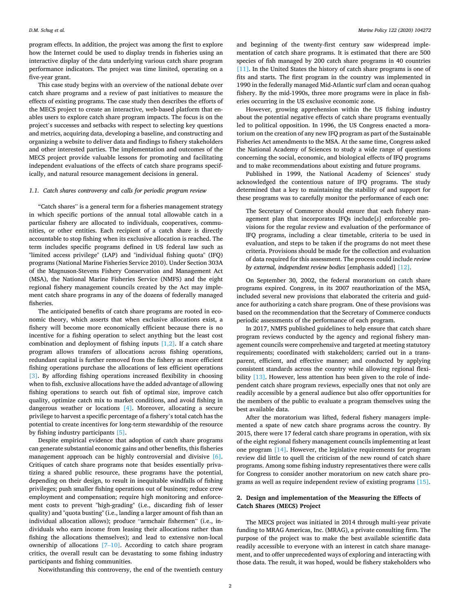program effects. In addition, the project was among the first to explore how the Internet could be used to display trends in fisheries using an interactive display of the data underlying various catch share program performance indicators. The project was time limited, operating on a five-year grant.

This case study begins with an overview of the national debate over catch share programs and a review of past initiatives to measure the effects of existing programs. The case study then describes the efforts of the MECS project to create an interactive, web-based platform that enables users to explore catch share program impacts. The focus is on the project's successes and setbacks with respect to selecting key questions and metrics, acquiring data, developing a baseline, and constructing and organizing a website to deliver data and findings to fishery stakeholders and other interested parties. The implementation and outcomes of the MECS project provide valuable lessons for promoting and facilitating independent evaluations of the effects of catch share programs specifically, and natural resource management decisions in general.

#### *1.1. Catch shares controversy and calls for periodic program review*

"Catch shares" is a general term for a fisheries management strategy in which specific portions of the annual total allowable catch in a particular fishery are allocated to individuals, cooperatives, communities, or other entities. Each recipient of a catch share is directly accountable to stop fishing when its exclusive allocation is reached. The term includes specific programs defined in US federal law such as "limited access privilege" (LAP) and "individual fishing quota" (IFQ) programs (National Marine Fisheries Service 2010). Under Section 303A of the Magnuson-Stevens Fishery Conservation and Management Act (MSA), the National Marine Fisheries Service (NMFS) and the eight regional fishery management councils created by the Act may implement catch share programs in any of the dozens of federally managed fisheries.

The anticipated benefits of catch share programs are rooted in economic theory, which asserts that when exclusive allocations exist, a fishery will become more economically efficient because there is no incentive for a fishing operation to select anything but the least cost combination and deployment of fishing inputs  $[1,2]$ . If a catch share program allows transfers of allocations across fishing operations, redundant capital is further removed from the fishery as more efficient fishing operations purchase the allocations of less efficient operations [\[3\].](#page-6-0) By affording fishing operations increased flexibility in choosing when to fish, exclusive allocations have the added advantage of allowing fishing operations to search out fish of optimal size, improve catch quality, optimize catch mix to market conditions, and avoid fishing in dangerous weather or locations  $[4]$ . Moreover, allocating a secure privilege to harvest a specific percentage of a fishery's total catch has the potential to create incentives for long-term stewardship of the resource by fishing industry participants [\[5\].](#page-6-0)

Despite empirical evidence that adoption of catch share programs can generate substantial economic gains and other benefits, this fisheries management approach can be highly controversial and divisive [\[6\]](#page-6-0). Critiques of catch share programs note that besides essentially privatizing a shared public resource, these programs have the potential, depending on their design, to result in inequitable windfalls of fishing privileges; push smaller fishing operations out of business; reduce crew employment and compensation; require high monitoring and enforcement costs to prevent "high-grading" (i.e., discarding fish of lesser quality) and "quota busting" (i.e., landing a larger amount of fish than an individual allocation allows); produce "armchair fishermen" (i.e., individuals who earn income from leasing their allocations rather than fishing the allocations themselves); and lead to extensive non-local ownership of allocations [7–[10\].](#page-6-0) According to catch share program critics, the overall result can be devastating to some fishing industry participants and fishing communities.

and beginning of the twenty-first century saw widespread implementation of catch share programs. It is estimated that there are 500 species of fish managed by 200 catch share programs in 40 countries [\[11\]](#page-6-0). In the United States the history of catch share programs is one of fits and starts. The first program in the country was implemented in 1990 in the federally managed Mid-Atlantic surf clam and ocean quahog fishery. By the mid-1990s, three more programs were in place in fisheries occurring in the US exclusive economic zone.

However, growing apprehension within the US fishing industry about the potential negative effects of catch share programs eventually led to political opposition. In 1996, the US Congress enacted a moratorium on the creation of any new IFQ program as part of the Sustainable Fisheries Act amendments to the MSA. At the same time, Congress asked the National Academy of Sciences to study a wide range of questions concerning the social, economic, and biological effects of IFQ programs and to make recommendations about existing and future programs.

Published in 1999, the National Academy of Sciences' study acknowledged the contentious nature of IFQ programs. The study determined that a key to maintaining the stability of and support for these programs was to carefully monitor the performance of each one:

The Secretary of Commerce should ensure that each fishery management plan that incorporates IFQs include[*s*] enforceable provisions for the regular review and evaluation of the performance of IFQ programs, including a clear timetable, criteria to be used in evaluation, and steps to be taken if the programs do not meet these criteria. Provisions should be made for the collection and evaluation of data required for this assessment. The process could include *review by external, independent review bodies* [emphasis added] [\[12\].](#page-6-0)

On September 30, 2002, the federal moratorium on catch share programs expired. Congress, in its 2007 reauthorization of the MSA, included several new provisions that elaborated the criteria and guidance for authorizing a catch share program. One of these provisions was based on the recommendation that the Secretary of Commerce conducts periodic assessments of the performance of each program.

In 2017, NMFS published guidelines to help ensure that catch share program reviews conducted by the agency and regional fishery management councils were comprehensive and targeted at meeting statutory requirements; coordinated with stakeholders; carried out in a transparent, efficient, and effective manner; and conducted by applying consistent standards across the country while allowing regional flexi-bility [\[13\].](#page-6-0) However, less attention has been given to the role of independent catch share program reviews, especially ones that not only are readily accessible by a general audience but also offer opportunities for the members of the public to evaluate a program themselves using the best available data.

After the moratorium was lifted, federal fishery managers implemented a spate of new catch share programs across the country. By 2015, there were 17 federal catch share programs in operation, with six of the eight regional fishery management councils implementing at least one program [\[14\].](#page-6-0) However, the legislative requirements for program review did little to quell the criticism of the new round of catch share programs. Among some fishing industry representatives there were calls for Congress to consider another moratorium on new catch share programs as well as require independent review of existing programs [\[15\]](#page-6-0).

# **2. Design and implementation of the Measuring the Effects of Catch Shares (MECS) Project**

The MECS project was initiated in 2014 through multi-year private funding to MRAG Americas, Inc. (MRAG), a private consulting firm. The purpose of the project was to make the best available scientific data readily accessible to everyone with an interest in catch share management, and to offer unprecedented ways of exploring and interacting with those data. The result, it was hoped, would be fishery stakeholders who

Notwithstanding this controversy, the end of the twentieth century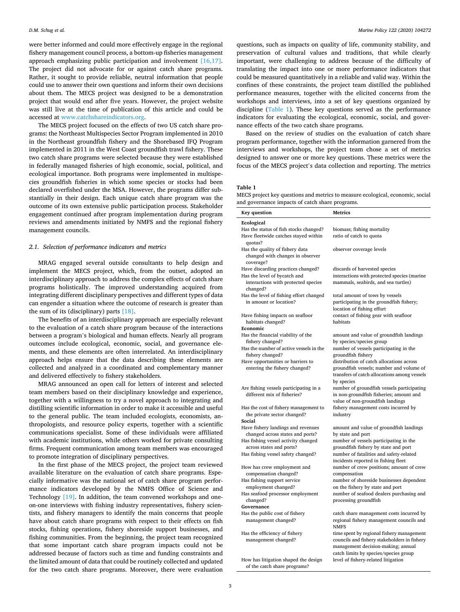were better informed and could more effectively engage in the regional fishery management council process, a bottom-up fisheries management approach emphasizing public participation and involvement [\[16,17\]](#page-6-0). The project did not advocate for or against catch share programs. Rather, it sought to provide reliable, neutral information that people could use to answer their own questions and inform their own decisions about them. The MECS project was designed to be a demonstration project that would end after five years. However, the project website was still live at the time of publication of this article and could be accessed at [www.catchshareindicators.org.](http://www.catchshareindicators.org)

The MECS project focused on the effects of two US catch share programs: the Northeast Multispecies Sector Program implemented in 2010 in the Northeast groundfish fishery and the Shorebased IFQ Program implemented in 2011 in the West Coast groundfish trawl fishery. These two catch share programs were selected because they were established in federally managed fisheries of high economic, social, political, and ecological importance. Both programs were implemented in multispecies groundfish fisheries in which some species or stocks had been declared overfished under the MSA. However, the programs differ substantially in their design. Each unique catch share program was the outcome of its own extensive public participation process. Stakeholder engagement continued after program implementation during program reviews and amendments initiated by NMFS and the regional fishery management councils.

#### *2.1. Selection of performance indicators and metrics*

MRAG engaged several outside consultants to help design and implement the MECS project, which, from the outset, adopted an interdisciplinary approach to address the complex effects of catch share programs holistically. The improved understanding acquired from integrating different disciplinary perspectives and different types of data can engender a situation where the outcome of research is greater than the sum of its (disciplinary) parts [\[18\]](#page-6-0).

The benefits of an interdisciplinary approach are especially relevant to the evaluation of a catch share program because of the interactions between a program's biological and human effects. Nearly all program outcomes include ecological, economic, social, and governance elements, and these elements are often interrelated. An interdisciplinary approach helps ensure that the data describing these elements are collected and analyzed in a coordinated and complementary manner and delivered effectively to fishery stakeholders.

MRAG announced an open call for letters of interest and selected team members based on their disciplinary knowledge and experience, together with a willingness to try a novel approach to integrating and distilling scientific information in order to make it accessible and useful to the general public. The team included ecologists, economists, anthropologists, and resource policy experts, together with a scientific communications specialist. Some of these individuals were affiliated with academic institutions, while others worked for private consulting firms. Frequent communication among team members was encouraged to promote integration of disciplinary perspectives.

In the first phase of the MECS project, the project team reviewed available literature on the evaluation of catch share programs. Especially informative was the national set of catch share program performance indicators developed by the NMFS Office of Science and Technology [\[19\]](#page-6-0). In addition, the team convened workshops and oneon-one interviews with fishing industry representatives, fishery scientists, and fishery managers to identify the main concerns that people have about catch share programs with respect to their effects on fish stocks, fishing operations, fishery shoreside support businesses, and fishing communities. From the beginning, the project team recognized that some important catch share program impacts could not be addressed because of factors such as time and funding constraints and the limited amount of data that could be routinely collected and updated for the two catch share programs. Moreover, there were evaluation

questions, such as impacts on quality of life, community stability, and preservation of cultural values and traditions, that while clearly important, were challenging to address because of the difficulty of translating the impact into one or more performance indicators that could be measured quantitatively in a reliable and valid way. Within the confines of these constraints, the project team distilled the published performance measures, together with the elicited concerns from the workshops and interviews, into a set of key questions organized by discipline (Table 1). These key questions served as the performance indicators for evaluating the ecological, economic, social, and governance effects of the two catch share programs.

Based on the review of studies on the evaluation of catch share program performance, together with the information garnered from the interviews and workshops, the project team chose a set of metrics designed to answer one or more key questions. These metrics were the focus of the MECS project's data collection and reporting. The metrics

# **Table 1**

MECS project key questions and metrics to measure ecological, economic, social and governance impacts of catch share programs.

| Key question                                                                                                          | Metrics                                                                                                                                                                  |
|-----------------------------------------------------------------------------------------------------------------------|--------------------------------------------------------------------------------------------------------------------------------------------------------------------------|
| Ecological                                                                                                            |                                                                                                                                                                          |
| Has the status of fish stocks changed?                                                                                | biomass; fishing mortality                                                                                                                                               |
| Have fleetwide catches stayed within<br>quotas?                                                                       | ratio of catch to quota                                                                                                                                                  |
| Has the quality of fishery data<br>changed with changes in observer<br>coverage?                                      | observer coverage levels                                                                                                                                                 |
| Have discarding practices changed?<br>Has the level of bycatch and<br>interactions with protected species<br>changed? | discards of harvested species<br>interactions with protected species (marine<br>mammals, seabirds, and sea turtles)                                                      |
| Has the level of fishing effort changed<br>in amount or location?                                                     | total amount of tows by vessels<br>participating in the groundfish fishery;<br>location of fishing effort                                                                |
| Have fishing impacts on seafloor<br>habitats changed?<br>Economic                                                     | contact of fishing gear with seafloor<br>habitats                                                                                                                        |
| Has the financial viability of the                                                                                    | amount and value of groundfish landings                                                                                                                                  |
| fishery changed?                                                                                                      | by species/species group                                                                                                                                                 |
| Has the number of active vessels in the<br>fishery changed?                                                           | number of vessels participating in the<br>groundfish fishery                                                                                                             |
| Have opportunities or barriers to<br>entering the fishery changed?                                                    | distribution of catch allocations across<br>groundfish vessels; number and volume of<br>transfers of catch allocations among vessels<br>by species                       |
| Are fishing vessels participating in a<br>different mix of fisheries?                                                 | number of groundfish vessels participating<br>in non-groundfish fisheries; amount and<br>value of non-groundfish landings                                                |
| Has the cost of fishery management to<br>the private sector changed?                                                  | fishery management costs incurred by<br>industry                                                                                                                         |
| Social                                                                                                                |                                                                                                                                                                          |
| Have fishery landings and revenues                                                                                    | amount and value of groundfish landings                                                                                                                                  |
| changed across states and ports?                                                                                      | by state and port                                                                                                                                                        |
| Has fishing vessel activity changed                                                                                   | number of vessels participating in the                                                                                                                                   |
| across states and ports?<br>Has fishing vessel safety changed?                                                        | groundfish fishery by state and port<br>number of fatalities and safety-related                                                                                          |
|                                                                                                                       | incidents reported in fishing fleet                                                                                                                                      |
| How has crew employment and<br>compensation changed?                                                                  | number of crew positions; amount of crew<br>compensation                                                                                                                 |
| Has fishing support service<br>employment changed?                                                                    | number of shoreside businesses dependent<br>on the fishery by state and port                                                                                             |
| Has seafood processor employment<br>changed?                                                                          | number of seafood dealers purchasing and<br>processing groundfish                                                                                                        |
| Governance                                                                                                            |                                                                                                                                                                          |
| Has the public cost of fishery<br>management changed?                                                                 | catch share management costs incurred by<br>regional fishery management councils and<br><b>NMFS</b>                                                                      |
| Has the efficiency of fishery<br>management changed?                                                                  | time spent by regional fishery management<br>councils and fishery stakeholders in fishery<br>management decision-making; annual<br>catch limits by species/species group |
| How has litigation shaped the design<br>of the catch share programs?                                                  | level of fishery-related litigation                                                                                                                                      |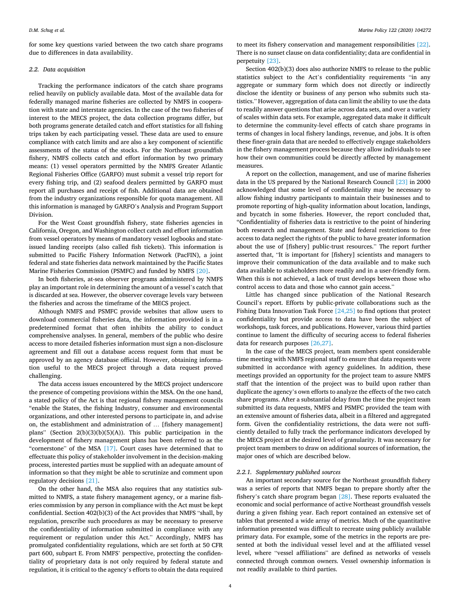for some key questions varied between the two catch share programs due to differences in data availability.

## *2.2. Data acquisition*

Tracking the performance indicators of the catch share programs relied heavily on publicly available data. Most of the available data for federally managed marine fisheries are collected by NMFS in cooperation with state and interstate agencies. In the case of the two fisheries of interest to the MECS project, the data collection programs differ, but both programs generate detailed catch and effort statistics for all fishing trips taken by each participating vessel. These data are used to ensure compliance with catch limits and are also a key component of scientific assessments of the status of the stocks. For the Northeast groundfish fishery, NMFS collects catch and effort information by two primary means: (1) vessel operators permitted by the NMFS Greater Atlantic Regional Fisheries Office (GARFO) must submit a vessel trip report for every fishing trip, and (2) seafood dealers permitted by GARFO must report all purchases and receipt of fish. Additional data are obtained from the industry organizations responsible for quota management. All this information is managed by GARFO's Analysis and Program Support Division.

For the West Coast groundfish fishery, state fisheries agencies in California, Oregon, and Washington collect catch and effort information from vessel operators by means of mandatory vessel logbooks and stateissued landing receipts (also called fish tickets). This information is submitted to Pacific Fishery Information Network (PacFIN), a joint federal and state fisheries data network maintained by the Pacific States Marine Fisheries Commission (PSMFC) and funded by NMFS [\[20\].](#page-6-0)

In both fisheries, at-sea observer programs administered by NMFS play an important role in determining the amount of a vessel's catch that is discarded at sea. However, the observer coverage levels vary between the fisheries and across the timeframe of the MECS project.

Although NMFS and PSMFC provide websites that allow users to download commercial fisheries data, the information provided is in a predetermined format that often inhibits the ability to conduct comprehensive analyses. In general, members of the public who desire access to more detailed fisheries information must sign a non-disclosure agreement and fill out a database access request form that must be approved by an agency database official. However, obtaining information useful to the MECS project through a data request proved challenging.

The data access issues encountered by the MECS project underscore the presence of competing provisions within the MSA. On the one hand, a stated policy of the Act is that regional fishery management councils "enable the States, the fishing Industry, consumer and environmental organizations, and other interested persons to participate in, and advise on, the establishment and administration of … [fishery management] plans" (Section 2(b)(3)(b)(5)(A)). This public participation in the development of fishery management plans has been referred to as the "cornerstone" of the MSA [\[17\]](#page-6-0). Court cases have determined that to effectuate this policy of stakeholder involvement in the decision-making process, interested parties must be supplied with an adequate amount of information so that they might be able to scrutinize and comment upon regulatory decisions [\[21\].](#page-6-0)

On the other hand, the MSA also requires that any statistics submitted to NMFS, a state fishery management agency, or a marine fisheries commission by any person in compliance with the Act must be kept confidential. Section 402(b)(3) of the Act provides that NMFS "shall, by regulation, prescribe such procedures as may be necessary to preserve the confidentiality of information submitted in compliance with any requirement or regulation under this Act." Accordingly, NMFS has promulgated confidentiality regulations, which are set forth at 50 CFR part 600, subpart E. From NMFS' perspective, protecting the confidentiality of proprietary data is not only required by federal statute and regulation, it is critical to the agency's efforts to obtain the data required

to meet its fishery conservation and management responsibilities [\[22\]](#page-6-0). There is no sunset clause on data confidentiality; data are confidential in perpetuity [\[23\]](#page-6-0).

Section 402(b)(3) does also authorize NMFS to release to the public statistics subject to the Act's confidentiality requirements "in any aggregate or summary form which does not directly or indirectly disclose the identity or business of any person who submits such statistics." However, aggregation of data can limit the ability to use the data to readily answer questions that arise across data sets, and over a variety of scales within data sets. For example, aggregated data make it difficult to determine the community-level effects of catch share programs in terms of changes in local fishery landings, revenue, and jobs. It is often these finer-grain data that are needed to effectively engage stakeholders in the fishery management process because they allow individuals to see how their own communities could be directly affected by management measures.

A report on the collection, management, and use of marine fisheries data in the US prepared by the National Research Council [\[23\]](#page-6-0) in 2000 acknowledged that some level of confidentiality may be necessary to allow fishing industry participants to maintain their businesses and to promote reporting of high-quality information about location, landings, and bycatch in some fisheries. However, the report concluded that, "Confidentiality of fisheries data is restrictive to the point of hindering both research and management. State and federal restrictions to free access to data neglect the rights of the public to have greater information about the use of [fishery] public-trust resources." The report further asserted that, "It is important for [fishery] scientists and managers to improve their communication of the data available and to make such data available to stakeholders more readily and in a user-friendly form. When this is not achieved, a lack of trust develops between those who control access to data and those who cannot gain access."

Little has changed since publication of the National Research Council's report. Efforts by public-private collaborations such as the Fishing Data Innovation Task Force [\[24,25\]](#page-6-0) to find options that protect confidentiality but provide access to data have been the subject of workshops, task forces, and publications. However, various third parties continue to lament the difficulty of securing access to federal fisheries data for research purposes [\[26,27\]](#page-6-0).

In the case of the MECS project, team members spent considerable time meeting with NMFS regional staff to ensure that data requests were submitted in accordance with agency guidelines. In addition, these meetings provided an opportunity for the project team to assure NMFS staff that the intention of the project was to build upon rather than duplicate the agency's own efforts to analyze the effects of the two catch share programs. After a substantial delay from the time the project team submitted its data requests, NMFS and PSMFC provided the team with an extensive amount of fisheries data, albeit in a filtered and aggregated form. Given the confidentiality restrictions, the data were not sufficiently detailed to fully track the performance indicators developed by the MECS project at the desired level of granularity. It was necessary for project team members to draw on additional sources of information, the major ones of which are described below.

## *2.2.1. Supplementary published sources*

An important secondary source for the Northeast groundfish fishery was a series of reports that NMFS began to prepare shortly after the fishery's catch share program began [\[28\]](#page-6-0). These reports evaluated the economic and social performance of active Northeast groundfish vessels during a given fishing year. Each report contained an extensive set of tables that presented a wide array of metrics. Much of the quantitative information presented was difficult to recreate using publicly available primary data. For example, some of the metrics in the reports are presented at both the individual vessel level and at the affiliated vessel level, where "vessel affiliations" are defined as networks of vessels connected through common owners. Vessel ownership information is not readily available to third parties.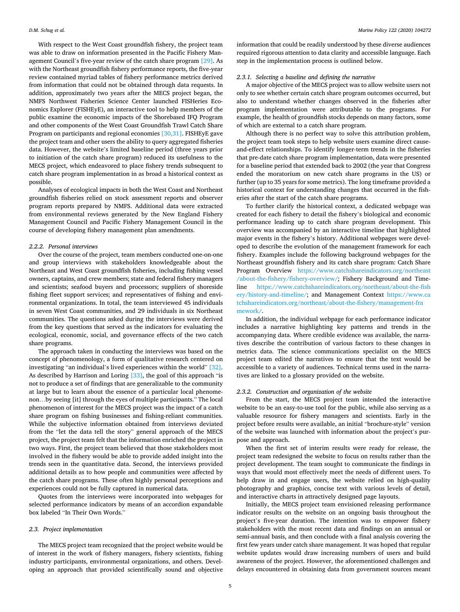With respect to the West Coast groundfish fishery, the project team was able to draw on information presented in the Pacific Fishery Management Council's five-year review of the catch share program [\[29\].](#page-6-0) As with the Northeast groundfish fishery performance reports, the five-year review contained myriad tables of fishery performance metrics derived from information that could not be obtained through data requests. In addition, approximately two years after the MECS project began, the NMFS Northwest Fisheries Science Center launched FISHeries Economics Explorer (FISHEyE), an interactive tool to help members of the public examine the economic impacts of the Shorebased IFQ Program and other components of the West Coast Groundfish Trawl Catch Share Program on participants and regional economies [\[30,31\].](#page-6-0) FISHEyE gave the project team and other users the ability to query aggregated fisheries data. However, the website's limited baseline period (three years prior to initiation of the catch share program) reduced its usefulness to the MECS project, which endeavored to place fishery trends subsequent to catch share program implementation in as broad a historical context as possible.

Analyses of ecological impacts in both the West Coast and Northeast groundfish fisheries relied on stock assessment reports and observer program reports prepared by NMFS. Additional data were extracted from environmental reviews generated by the New England Fishery Management Council and Pacific Fishery Management Council in the course of developing fishery management plan amendments.

#### *2.2.2. Personal interviews*

Over the course of the project, team members conducted one-on-one and group interviews with stakeholders knowledgeable about the Northeast and West Coast groundfish fisheries, including fishing vessel owners, captains, and crew members; state and federal fishery managers and scientists; seafood buyers and processors; suppliers of shoreside fishing fleet support services; and representatives of fishing and environmental organizations. In total, the team interviewed 45 individuals in seven West Coast communities, and 29 individuals in six Northeast communities. The questions asked during the interviews were derived from the key questions that served as the indicators for evaluating the ecological, economic, social, and governance effects of the two catch share programs.

The approach taken in conducting the interviews was based on the concept of phenomenology, a form of qualitative research centered on investigating "an individual's lived experiences within the world" [\[32\]](#page-6-0). As described by Harrison and Loring [\[33\],](#page-6-0) the goal of this approach "is not to produce a set of findings that are generalizable to the community at large but to learn about the essence of a particular local phenomenon…by seeing [it] through the eyes of multiple participants." The local phenomenon of interest for the MECS project was the impact of a catch share program on fishing businesses and fishing-reliant communities. While the subjective information obtained from interviews deviated from the "let the data tell the story" general approach of the MECS project, the project team felt that the information enriched the project in two ways. First, the project team believed that those stakeholders most involved in the fishery would be able to provide added insight into the trends seen in the quantitative data. Second, the interviews provided additional details as to how people and communities were affected by the catch share programs. These often highly personal perceptions and experiences could not be fully captured in numerical data.

Quotes from the interviews were incorporated into webpages for selected performance indicators by means of an accordion expandable box labeled "In Their Own Words."

#### *2.3. Project implementation*

The MECS project team recognized that the project website would be of interest in the work of fishery managers, fishery scientists, fishing industry participants, environmental organizations, and others. Developing an approach that provided scientifically sound and objective

information that could be readily understood by these diverse audiences required rigorous attention to data clarity and accessible language. Each step in the implementation process is outlined below.

#### *2.3.1. Selecting a baseline and defining the narrative*

A major objective of the MECS project was to allow website users not only to see whether certain catch share program outcomes occurred, but also to understand whether changes observed in the fisheries after program implementation were attributable to the programs. For example, the health of groundfish stocks depends on many factors, some of which are external to a catch share program.

Although there is no perfect way to solve this attribution problem, the project team took steps to help website users examine direct causeand-effect relationships. To identify longer-term trends in the fisheries that pre-date catch share program implementation, data were presented for a baseline period that extended back to 2002 (the year that Congress ended the moratorium on new catch share programs in the US) or further (up to 35 years for some metrics). The long timeframe provided a historical context for understanding changes that occurred in the fisheries after the start of the catch share programs.

To further clarify the historical context, a dedicated webpage was created for each fishery to detail the fishery's biological and economic performance leading up to catch share program development. This overview was accompanied by an interactive timeline that highlighted major events in the fishery's history. Additional webpages were developed to describe the evolution of the management framework for each fishery. Examples include the following background webpages for the Northeast groundfish fishery and its catch share program: Catch Share Program Overview [https://www.catchshareindicators.org/northeast](https://www.catchshareindicators.org/northeast/about-the-fishery/fishery-overview/)  [/about-the-fishery/fishery-overview/;](https://www.catchshareindicators.org/northeast/about-the-fishery/fishery-overview/) Fishery Background and Timeline [https://www.catchshareindicators.org/northeast/about-the-fish](https://www.catchshareindicators.org/northeast/about-the-fishery/history-and-timeline/)  [ery/history-and-timeline/](https://www.catchshareindicators.org/northeast/about-the-fishery/history-and-timeline/); and Management Context [https://www.ca](https://www.catchshareindicators.org/northeast/about-the-fishery/management-framework/)  [tchshareindicators.org/northeast/about-the-fishery/management-fra](https://www.catchshareindicators.org/northeast/about-the-fishery/management-framework/) [mework/](https://www.catchshareindicators.org/northeast/about-the-fishery/management-framework/).

In addition, the individual webpage for each performance indicator includes a narrative highlighting key patterns and trends in the accompanying data. Where credible evidence was available, the narratives describe the contribution of various factors to these changes in metrics data. The science communications specialist on the MECS project team edited the narratives to ensure that the text would be accessible to a variety of audiences. Technical terms used in the narratives are linked to a glossary provided on the website.

#### *2.3.2. Construction and organization of the website*

From the start, the MECS project team intended the interactive website to be an easy-to-use tool for the public, while also serving as a valuable resource for fishery managers and scientists. Early in the project before results were available, an initial "brochure-style" version of the website was launched with information about the project's purpose and approach.

When the first set of interim results were ready for release, the project team redesigned the website to focus on results rather than the project development. The team sought to communicate the findings in ways that would most effectively meet the needs of different users. To help draw in and engage users, the website relied on high-quality photography and graphics, concise text with various levels of detail, and interactive charts in attractively designed page layouts.

Initially, the MECS project team envisioned releasing performance indicator results on the website on an ongoing basis throughout the project's five-year duration. The intention was to empower fishery stakeholders with the most recent data and findings on an annual or semi-annual basis, and then conclude with a final analysis covering the first few years under catch share management. It was hoped that regular website updates would draw increasing numbers of users and build awareness of the project. However, the aforementioned challenges and delays encountered in obtaining data from government sources meant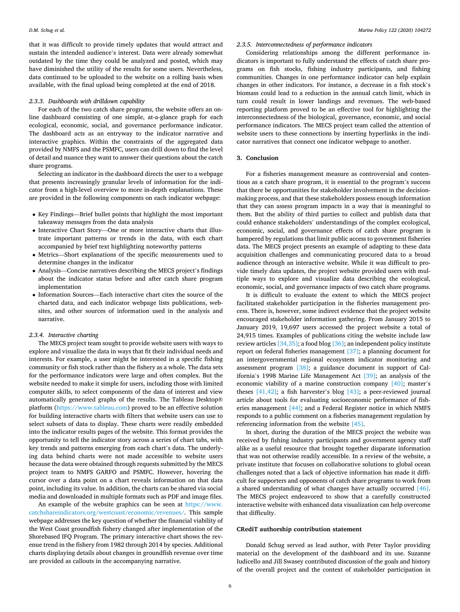that it was difficult to provide timely updates that would attract and sustain the intended audience's interest. Data were already somewhat outdated by the time they could be analyzed and posted, which may have diminished the utility of the results for some users. Nevertheless, data continued to be uploaded to the website on a rolling basis when available, with the final upload being completed at the end of 2018.

#### *2.3.3. Dashboards with drilldown capability*

For each of the two catch share programs, the website offers an online dashboard consisting of one simple, at-a-glance graph for each ecological, economic, social, and governance performance indicator. The dashboard acts as an entryway to the indicator narrative and interactive graphics. Within the constraints of the aggregated data provided by NMFS and the PSMFC, users can drill down to find the level of detail and nuance they want to answer their questions about the catch share programs.

Selecting an indicator in the dashboard directs the user to a webpage that presents increasingly granular levels of information for the indicator from a high-level overview to more in-depth explanations. These are provided in the following components on each indicator webpage:

- Key Findings—Brief bullet points that highlight the most important takeaway messages from the data analysis
- Interactive Chart Story—One or more interactive charts that illustrate important patterns or trends in the data, with each chart accompanied by brief text highlighting noteworthy patterns
- Metrics—Short explanations of the specific measurements used to determine changes in the indicator
- Analysis—Concise narratives describing the MECS project's findings about the indicator status before and after catch share program implementation
- Information Sources—Each interactive chart cites the source of the charted data, and each indicator webpage lists publications, websites, and other sources of information used in the analysis and narrative.

#### *2.3.4. Interactive charting*

The MECS project team sought to provide website users with ways to explore and visualize the data in ways that fit their individual needs and interests. For example, a user might be interested in a specific fishing community or fish stock rather than the fishery as a whole. The data sets for the performance indicators were large and often complex. But the website needed to make it simple for users, including those with limited computer skills, to select components of the data of interest and view automatically generated graphs of the results. The Tableau Desktop® platform [\(https://www.tableau.com](https://www.tableau.com)) proved to be an effective solution for building interactive charts with filters that website users can use to select subsets of data to display. These charts were readily embedded into the indicator results pages of the website. This format provides the opportunity to tell the indicator story across a series of chart tabs, with key trends and patterns emerging from each chart's data. The underlying data behind charts were not made accessible to website users because the data were obtained through requests submitted by the MECS project team to NMFS GARFO and PSMFC. However, hovering the cursor over a data point on a chart reveals information on that data point, including its value. In addition, the charts can be shared via social media and downloaded in multiple formats such as PDF and image files.

An example of the website graphics can be seen at https://www. [catchshareindicators.org/westcoast/economic/revenues/.](https://www.catchshareindicators.org/westcoast/economic/revenues/) This sample webpage addresses the key question of whether the financial viability of the West Coast groundfish fishery changed after implementation of the Shorebased IFQ Program. The primary interactive chart shows the revenue trend in the fishery from 1982 through 2014 by species. Additional charts displaying details about changes in groundfish revenue over time are provided as callouts in the accompanying narrative.

#### *2.3.5. Interconnectedness of performance indicators*

Considering relationships among the different performance indicators is important to fully understand the effects of catch share programs on fish stocks, fishing industry participants, and fishing communities. Changes in one performance indicator can help explain changes in other indicators. For instance, a decrease in a fish stock's biomass could lead to a reduction in the annual catch limit, which in turn could result in lower landings and revenues. The web-based reporting platform proved to be an effective tool for highlighting the interconnectedness of the biological, governance, economic, and social performance indicators. The MECS project team called the attention of website users to these connections by inserting hyperlinks in the indicator narratives that connect one indicator webpage to another.

#### **3. Conclusion**

For a fisheries management measure as controversial and contentious as a catch share program, it is essential to the program's success that there be opportunities for stakeholder involvement in the decisionmaking process, and that these stakeholders possess enough information that they can assess program impacts in a way that is meaningful to them. But the ability of third parties to collect and publish data that could enhance stakeholders' understandings of the complex ecological, economic, social, and governance effects of catch share program is hampered by regulations that limit public access to government fisheries data. The MECS project presents an example of adapting to these data acquisition challenges and communicating procured data to a broad audience through an interactive website. While it was difficult to provide timely data updates, the project website provided users with multiple ways to explore and visualize data describing the ecological, economic, social, and governance impacts of two catch share programs.

It is difficult to evaluate the extent to which the MECS project facilitated stakeholder participation in the fisheries management process. There is, however, some indirect evidence that the project website encouraged stakeholder information gathering. From January 2015 to January 2019, 19,697 users accessed the project website a total of 24,915 times. Examples of publications citing the website include law review articles [\[34,35\]](#page-6-0); a food blog [\[36\];](#page-6-0) an independent policy institute report on federal fisheries management [\[37\];](#page-6-0) a planning document for an intergovernmental regional ecosystem indicator monitoring and assessment program [\[38\];](#page-6-0) a guidance document in support of California's 1998 Marine Life Management Act [\[39\]](#page-6-0); an analysis of the economic viability of a marine construction company [\[40\]](#page-6-0); master's theses  $[41,42]$ ; a fish harvester's blog  $[43]$ ; a peer-reviewed journal article about tools for evaluating socioeconomic performance of fisheries management [\[44\];](#page-6-0) and a Federal Register notice in which NMFS responds to a public comment on a fisheries management regulation by referencing information from the website [\[45\].](#page-6-0)

In short, during the duration of the MECS project the website was received by fishing industry participants and government agency staff alike as a useful resource that brought together disparate information that was not otherwise readily accessible. In a review of the website, a private institute that focuses on collaborative solutions to global ocean challenges noted that a lack of objective information has made it difficult for supporters and opponents of catch share programs to work from a shared understanding of what changes have actually occurred [\[46\]](#page-6-0). The MECS project endeavored to show that a carefully constructed interactive website with enhanced data visualization can help overcome that difficulty.

#### **CRediT authorship contribution statement**

Donald Schug served as lead author, with Peter Taylor providing material on the development of the dashboard and its use. Suzanne Iudicello and Jill Swasey contributed discussion of the goals and history of the overall project and the context of stakeholder participation in